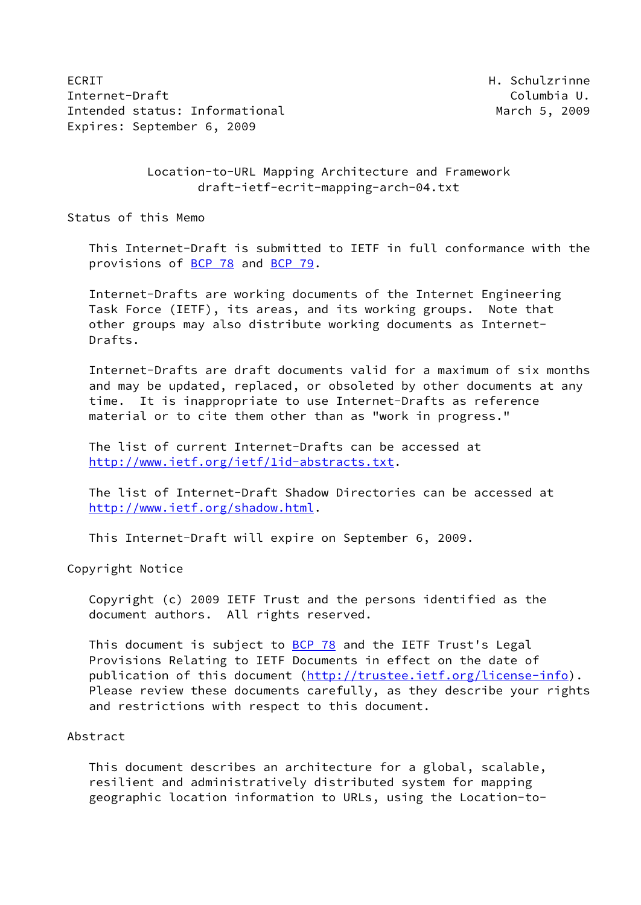ECRIT **H. Schulzrinne** Internet-Draft **Columbia U.** Columbia U. Intended status: Informational and March 5, 2009 Expires: September 6, 2009

 Location-to-URL Mapping Architecture and Framework draft-ietf-ecrit-mapping-arch-04.txt

Status of this Memo

 This Internet-Draft is submitted to IETF in full conformance with the provisions of [BCP 78](https://datatracker.ietf.org/doc/pdf/bcp78) and [BCP 79](https://datatracker.ietf.org/doc/pdf/bcp79).

 Internet-Drafts are working documents of the Internet Engineering Task Force (IETF), its areas, and its working groups. Note that other groups may also distribute working documents as Internet- Drafts.

 Internet-Drafts are draft documents valid for a maximum of six months and may be updated, replaced, or obsoleted by other documents at any time. It is inappropriate to use Internet-Drafts as reference material or to cite them other than as "work in progress."

 The list of current Internet-Drafts can be accessed at <http://www.ietf.org/ietf/1id-abstracts.txt>.

 The list of Internet-Draft Shadow Directories can be accessed at <http://www.ietf.org/shadow.html>.

This Internet-Draft will expire on September 6, 2009.

Copyright Notice

 Copyright (c) 2009 IETF Trust and the persons identified as the document authors. All rights reserved.

This document is subject to **[BCP 78](https://datatracker.ietf.org/doc/pdf/bcp78)** and the IETF Trust's Legal Provisions Relating to IETF Documents in effect on the date of publication of this document [\(http://trustee.ietf.org/license-info](http://trustee.ietf.org/license-info)). Please review these documents carefully, as they describe your rights and restrictions with respect to this document.

# Abstract

 This document describes an architecture for a global, scalable, resilient and administratively distributed system for mapping geographic location information to URLs, using the Location-to-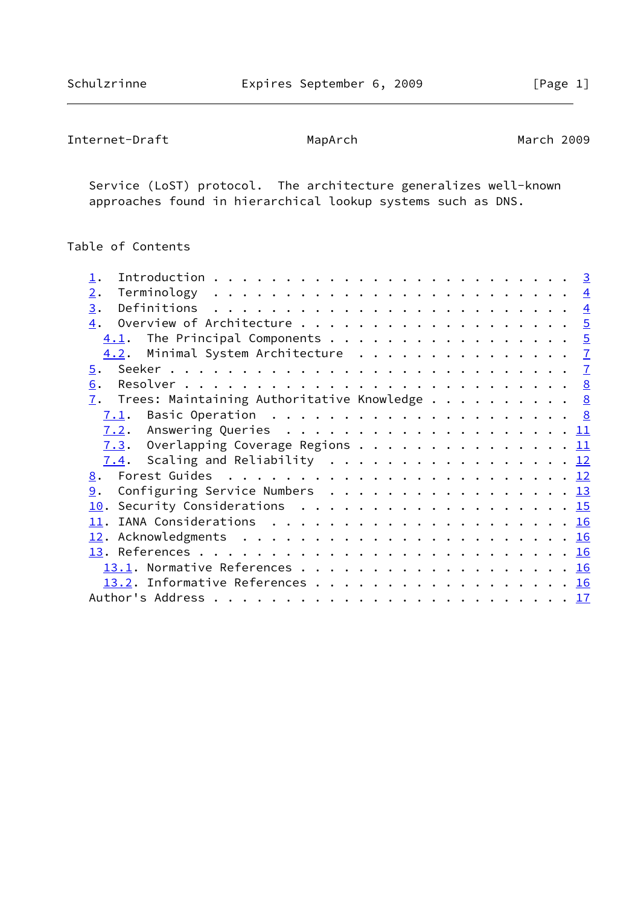```
Internet-Draft MapArch MapArch March 2009
```
 Service (LoST) protocol. The architecture generalizes well-known approaches found in hierarchical lookup systems such as DNS.

Table of Contents

| 2.                                              |  |  |  |  |
|-------------------------------------------------|--|--|--|--|
| 3.                                              |  |  |  |  |
|                                                 |  |  |  |  |
| $\underline{4.1}$ . The Principal Components 5  |  |  |  |  |
| 4.2. Minimal System Architecture 7              |  |  |  |  |
| 5.                                              |  |  |  |  |
| 6.                                              |  |  |  |  |
| 7. Trees: Maintaining Authoritative Knowledge 8 |  |  |  |  |
| 7.1.                                            |  |  |  |  |
|                                                 |  |  |  |  |
| 7.3. Overlapping Coverage Regions 11            |  |  |  |  |
| $\underline{7.4}$ . Scaling and Reliability 12  |  |  |  |  |
|                                                 |  |  |  |  |
| <u>9</u> . Configuring Service Numbers 13       |  |  |  |  |
| 10. Security Considerations 15                  |  |  |  |  |
|                                                 |  |  |  |  |
|                                                 |  |  |  |  |
|                                                 |  |  |  |  |
|                                                 |  |  |  |  |
| 13.2. Informative References 16                 |  |  |  |  |
|                                                 |  |  |  |  |
|                                                 |  |  |  |  |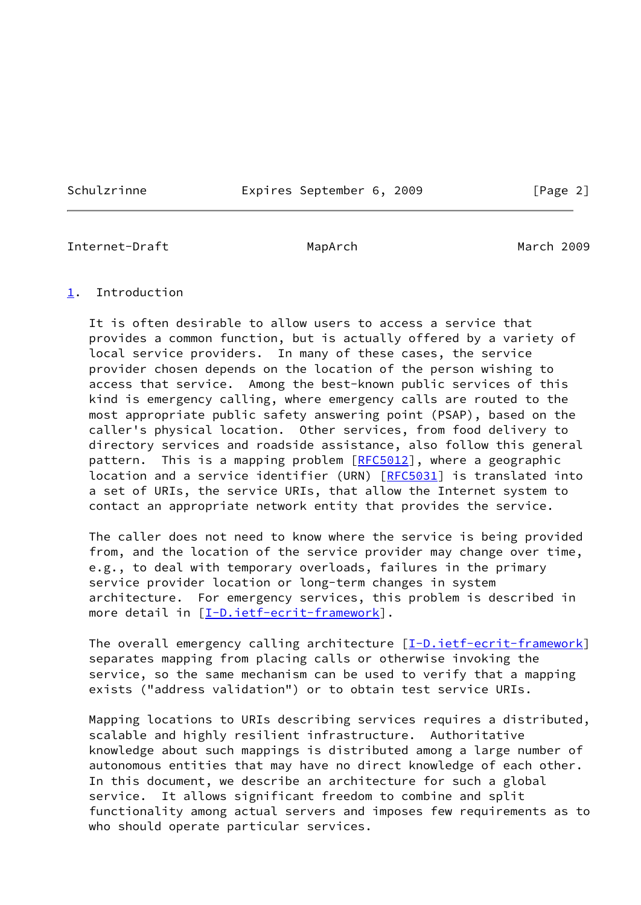Schulzrinne **Expires September 6, 2009** [Page 2]

<span id="page-2-1"></span>Internet-Draft MapArch MapArch March 2009

#### <span id="page-2-0"></span>[1](#page-2-0). Introduction

 It is often desirable to allow users to access a service that provides a common function, but is actually offered by a variety of local service providers. In many of these cases, the service provider chosen depends on the location of the person wishing to access that service. Among the best-known public services of this kind is emergency calling, where emergency calls are routed to the most appropriate public safety answering point (PSAP), based on the caller's physical location. Other services, from food delivery to directory services and roadside assistance, also follow this general pattern. This is a mapping problem [\[RFC5012](https://datatracker.ietf.org/doc/pdf/rfc5012)], where a geographic location and a service identifier (URN) [\[RFC5031](https://datatracker.ietf.org/doc/pdf/rfc5031)] is translated into a set of URIs, the service URIs, that allow the Internet system to contact an appropriate network entity that provides the service.

 The caller does not need to know where the service is being provided from, and the location of the service provider may change over time, e.g., to deal with temporary overloads, failures in the primary service provider location or long-term changes in system architecture. For emergency services, this problem is described in more detail in [\[I-D.ietf-ecrit-framework](#page-18-1)].

The overall emergency calling architecture  $[\underline{I-D.iett-ecrit-framework}]$  separates mapping from placing calls or otherwise invoking the service, so the same mechanism can be used to verify that a mapping exists ("address validation") or to obtain test service URIs.

 Mapping locations to URIs describing services requires a distributed, scalable and highly resilient infrastructure. Authoritative knowledge about such mappings is distributed among a large number of autonomous entities that may have no direct knowledge of each other. In this document, we describe an architecture for such a global service. It allows significant freedom to combine and split functionality among actual servers and imposes few requirements as to who should operate particular services.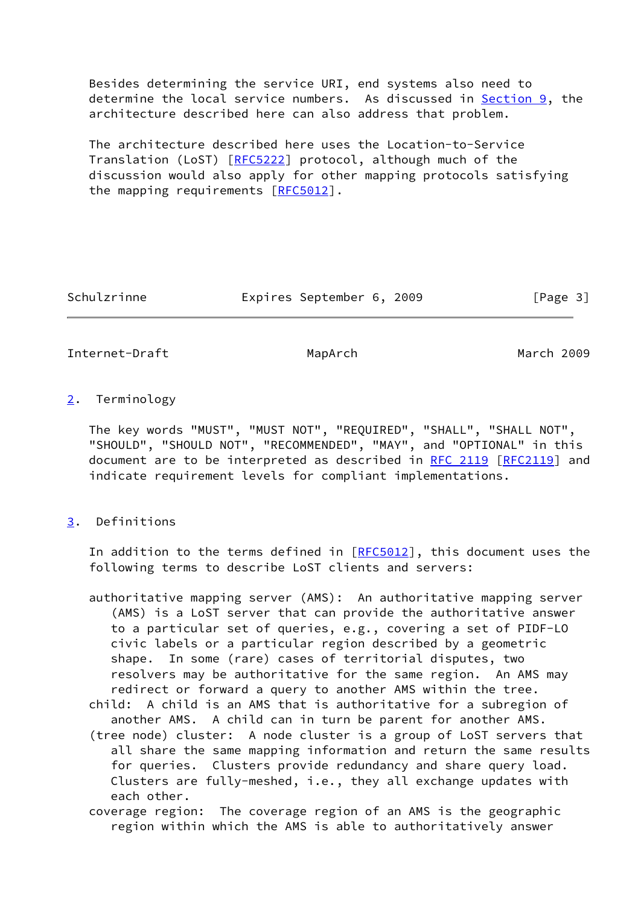Besides determining the service URI, end systems also need to determine the local service numbers. As discussed in **Section 9**, the architecture described here can also address that problem.

 The architecture described here uses the Location-to-Service Translation (LoST) [[RFC5222\]](https://datatracker.ietf.org/doc/pdf/rfc5222) protocol, although much of the discussion would also apply for other mapping protocols satisfying the mapping requirements [\[RFC5012](https://datatracker.ietf.org/doc/pdf/rfc5012)].

Schulzrinne **Expires September 6, 2009** [Page 3]

<span id="page-3-1"></span>Internet-Draft MapArch March 2009

# <span id="page-3-0"></span>[2](#page-3-0). Terminology

 The key words "MUST", "MUST NOT", "REQUIRED", "SHALL", "SHALL NOT", "SHOULD", "SHOULD NOT", "RECOMMENDED", "MAY", and "OPTIONAL" in this document are to be interpreted as described in [RFC 2119 \[RFC2119](https://datatracker.ietf.org/doc/pdf/rfc2119)] and indicate requirement levels for compliant implementations.

# <span id="page-3-2"></span>[3](#page-3-2). Definitions

 In addition to the terms defined in [\[RFC5012](https://datatracker.ietf.org/doc/pdf/rfc5012)], this document uses the following terms to describe LoST clients and servers:

- authoritative mapping server (AMS): An authoritative mapping server (AMS) is a LoST server that can provide the authoritative answer to a particular set of queries, e.g., covering a set of PIDF-LO civic labels or a particular region described by a geometric shape. In some (rare) cases of territorial disputes, two resolvers may be authoritative for the same region. An AMS may redirect or forward a query to another AMS within the tree.
- child: A child is an AMS that is authoritative for a subregion of another AMS. A child can in turn be parent for another AMS.
- (tree node) cluster: A node cluster is a group of LoST servers that all share the same mapping information and return the same results for queries. Clusters provide redundancy and share query load. Clusters are fully-meshed, i.e., they all exchange updates with each other.
- coverage region: The coverage region of an AMS is the geographic region within which the AMS is able to authoritatively answer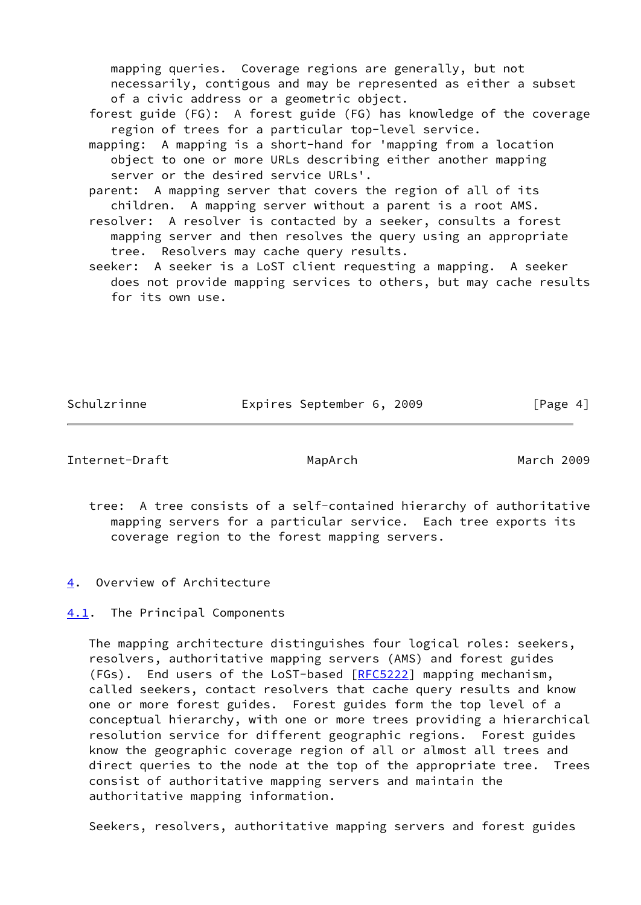mapping queries. Coverage regions are generally, but not necessarily, contigous and may be represented as either a subset of a civic address or a geometric object.

- forest guide (FG): A forest guide (FG) has knowledge of the coverage region of trees for a particular top-level service.
- mapping: A mapping is a short-hand for 'mapping from a location object to one or more URLs describing either another mapping server or the desired service URLs'.
- parent: A mapping server that covers the region of all of its children. A mapping server without a parent is a root AMS.
- resolver: A resolver is contacted by a seeker, consults a forest mapping server and then resolves the query using an appropriate tree. Resolvers may cache query results.
- seeker: A seeker is a LoST client requesting a mapping. A seeker does not provide mapping services to others, but may cache results for its own use.

Schulzrinne Expires September 6, 2009 [Page 4]

<span id="page-4-1"></span>Internet-Draft MapArch March 2009

- tree: A tree consists of a self-contained hierarchy of authoritative mapping servers for a particular service. Each tree exports its coverage region to the forest mapping servers.
- <span id="page-4-0"></span>[4](#page-4-0). Overview of Architecture
- <span id="page-4-2"></span>[4.1](#page-4-2). The Principal Components

 The mapping architecture distinguishes four logical roles: seekers, resolvers, authoritative mapping servers (AMS) and forest guides (FGs). End users of the LoST-based [\[RFC5222](https://datatracker.ietf.org/doc/pdf/rfc5222)] mapping mechanism, called seekers, contact resolvers that cache query results and know one or more forest guides. Forest guides form the top level of a conceptual hierarchy, with one or more trees providing a hierarchical resolution service for different geographic regions. Forest guides know the geographic coverage region of all or almost all trees and direct queries to the node at the top of the appropriate tree. Trees consist of authoritative mapping servers and maintain the authoritative mapping information.

Seekers, resolvers, authoritative mapping servers and forest guides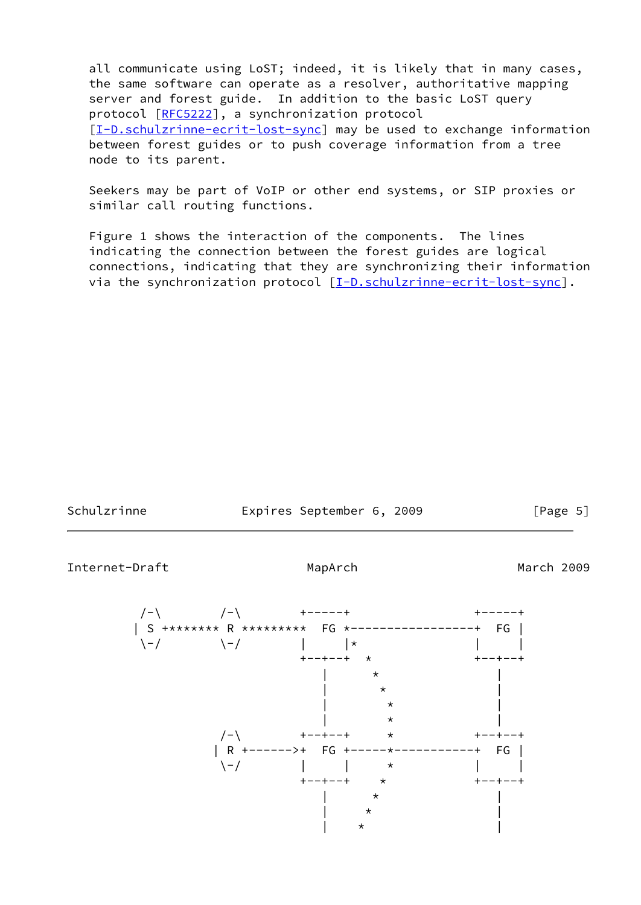all communicate using LoST; indeed, it is likely that in many cases, the same software can operate as a resolver, authoritative mapping server and forest guide. In addition to the basic LoST query protocol [\[RFC5222](https://datatracker.ietf.org/doc/pdf/rfc5222)], a synchronization protocol [\[I-D.schulzrinne-ecrit-lost-sync](#page-18-2)] may be used to exchange information between forest guides or to push coverage information from a tree node to its parent.

 Seekers may be part of VoIP or other end systems, or SIP proxies or similar call routing functions.

 Figure 1 shows the interaction of the components. The lines indicating the connection between the forest guides are logical connections, indicating that they are synchronizing their information via the synchronization protocol [\[I-D.schulzrinne-ecrit-lost-sync](#page-18-2)].

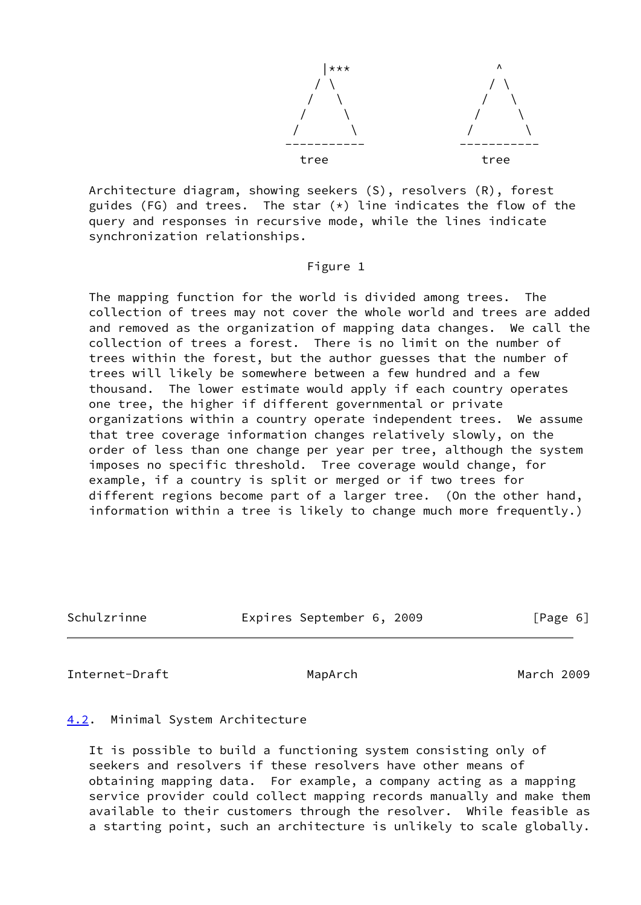

 Architecture diagram, showing seekers (S), resolvers (R), forest guides (FG) and trees. The star  $(*)$  line indicates the flow of the query and responses in recursive mode, while the lines indicate synchronization relationships.

#### Figure 1

 The mapping function for the world is divided among trees. The collection of trees may not cover the whole world and trees are added and removed as the organization of mapping data changes. We call the collection of trees a forest. There is no limit on the number of trees within the forest, but the author guesses that the number of trees will likely be somewhere between a few hundred and a few thousand. The lower estimate would apply if each country operates one tree, the higher if different governmental or private organizations within a country operate independent trees. We assume that tree coverage information changes relatively slowly, on the order of less than one change per year per tree, although the system imposes no specific threshold. Tree coverage would change, for example, if a country is split or merged or if two trees for different regions become part of a larger tree. (On the other hand, information within a tree is likely to change much more frequently.)

| Schulzrinne | Expires September 6, 2009 |  | [Page 6] |
|-------------|---------------------------|--|----------|
|             |                           |  |          |

<span id="page-6-1"></span>Internet-Draft MapArch MapArch March 2009

# <span id="page-6-0"></span>[4.2](#page-6-0). Minimal System Architecture

 It is possible to build a functioning system consisting only of seekers and resolvers if these resolvers have other means of obtaining mapping data. For example, a company acting as a mapping service provider could collect mapping records manually and make them available to their customers through the resolver. While feasible as a starting point, such an architecture is unlikely to scale globally.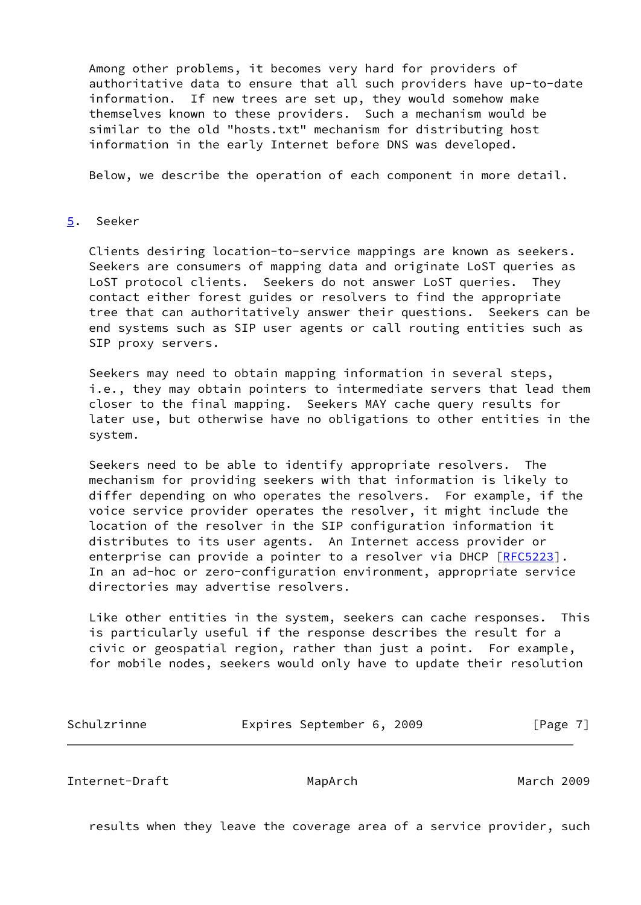Among other problems, it becomes very hard for providers of authoritative data to ensure that all such providers have up-to-date information. If new trees are set up, they would somehow make themselves known to these providers. Such a mechanism would be similar to the old "hosts.txt" mechanism for distributing host information in the early Internet before DNS was developed.

Below, we describe the operation of each component in more detail.

#### <span id="page-7-0"></span>[5](#page-7-0). Seeker

 Clients desiring location-to-service mappings are known as seekers. Seekers are consumers of mapping data and originate LoST queries as LoST protocol clients. Seekers do not answer LoST queries. They contact either forest guides or resolvers to find the appropriate tree that can authoritatively answer their questions. Seekers can be end systems such as SIP user agents or call routing entities such as SIP proxy servers.

 Seekers may need to obtain mapping information in several steps, i.e., they may obtain pointers to intermediate servers that lead them closer to the final mapping. Seekers MAY cache query results for later use, but otherwise have no obligations to other entities in the system.

 Seekers need to be able to identify appropriate resolvers. The mechanism for providing seekers with that information is likely to differ depending on who operates the resolvers. For example, if the voice service provider operates the resolver, it might include the location of the resolver in the SIP configuration information it distributes to its user agents. An Internet access provider or enterprise can provide a pointer to a resolver via DHCP [\[RFC5223](https://datatracker.ietf.org/doc/pdf/rfc5223)]. In an ad-hoc or zero-configuration environment, appropriate service directories may advertise resolvers.

 Like other entities in the system, seekers can cache responses. This is particularly useful if the response describes the result for a civic or geospatial region, rather than just a point. For example, for mobile nodes, seekers would only have to update their resolution

| Schulzrinne |  | Expires September 6, 2009 |  |  | [Page 7] |
|-------------|--|---------------------------|--|--|----------|
|-------------|--|---------------------------|--|--|----------|

<span id="page-7-1"></span>Internet-Draft MapArch March 2009

results when they leave the coverage area of a service provider, such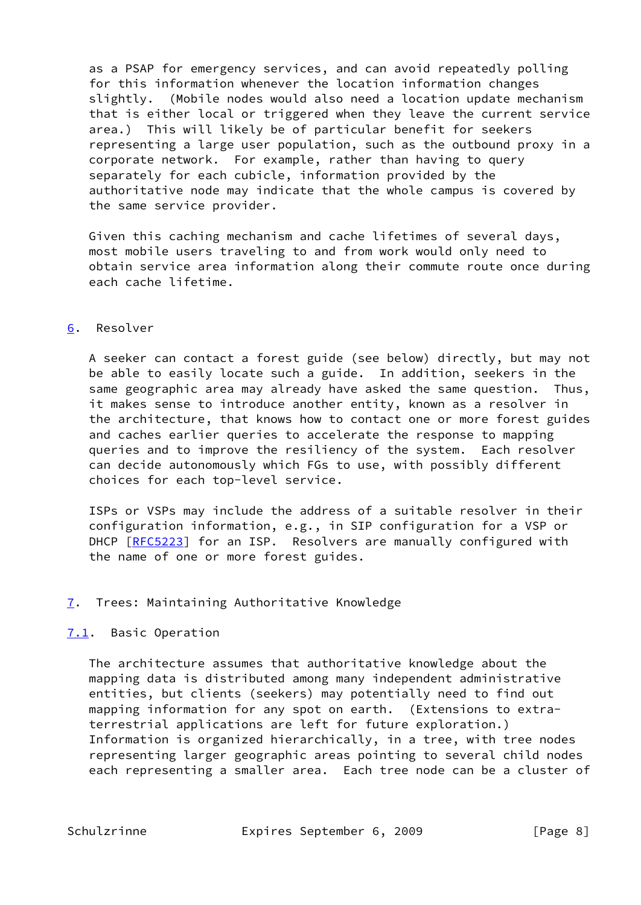as a PSAP for emergency services, and can avoid repeatedly polling for this information whenever the location information changes slightly. (Mobile nodes would also need a location update mechanism that is either local or triggered when they leave the current service area.) This will likely be of particular benefit for seekers representing a large user population, such as the outbound proxy in a corporate network. For example, rather than having to query separately for each cubicle, information provided by the authoritative node may indicate that the whole campus is covered by the same service provider.

 Given this caching mechanism and cache lifetimes of several days, most mobile users traveling to and from work would only need to obtain service area information along their commute route once during each cache lifetime.

# <span id="page-8-0"></span>[6](#page-8-0). Resolver

 A seeker can contact a forest guide (see below) directly, but may not be able to easily locate such a guide. In addition, seekers in the same geographic area may already have asked the same question. Thus, it makes sense to introduce another entity, known as a resolver in the architecture, that knows how to contact one or more forest guides and caches earlier queries to accelerate the response to mapping queries and to improve the resiliency of the system. Each resolver can decide autonomously which FGs to use, with possibly different choices for each top-level service.

 ISPs or VSPs may include the address of a suitable resolver in their configuration information, e.g., in SIP configuration for a VSP or DHCP [\[RFC5223](https://datatracker.ietf.org/doc/pdf/rfc5223)] for an ISP. Resolvers are manually configured with the name of one or more forest guides.

# <span id="page-8-1"></span>[7](#page-8-1). Trees: Maintaining Authoritative Knowledge

# <span id="page-8-2"></span>[7.1](#page-8-2). Basic Operation

 The architecture assumes that authoritative knowledge about the mapping data is distributed among many independent administrative entities, but clients (seekers) may potentially need to find out mapping information for any spot on earth. (Extensions to extra terrestrial applications are left for future exploration.) Information is organized hierarchically, in a tree, with tree nodes representing larger geographic areas pointing to several child nodes each representing a smaller area. Each tree node can be a cluster of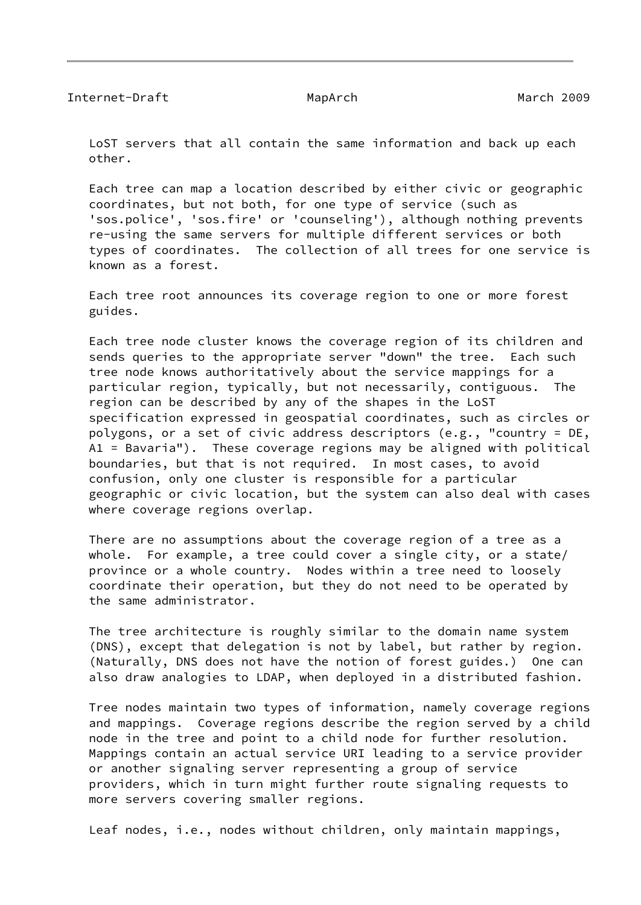LoST servers that all contain the same information and back up each other.

 Each tree can map a location described by either civic or geographic coordinates, but not both, for one type of service (such as 'sos.police', 'sos.fire' or 'counseling'), although nothing prevents re-using the same servers for multiple different services or both types of coordinates. The collection of all trees for one service is known as a forest.

 Each tree root announces its coverage region to one or more forest guides.

 Each tree node cluster knows the coverage region of its children and sends queries to the appropriate server "down" the tree. Each such tree node knows authoritatively about the service mappings for a particular region, typically, but not necessarily, contiguous. The region can be described by any of the shapes in the LoST specification expressed in geospatial coordinates, such as circles or polygons, or a set of civic address descriptors (e.g., "country = DE, A1 = Bavaria"). These coverage regions may be aligned with political boundaries, but that is not required. In most cases, to avoid confusion, only one cluster is responsible for a particular geographic or civic location, but the system can also deal with cases where coverage regions overlap.

 There are no assumptions about the coverage region of a tree as a whole. For example, a tree could cover a single city, or a state/ province or a whole country. Nodes within a tree need to loosely coordinate their operation, but they do not need to be operated by the same administrator.

The tree architecture is roughly similar to the domain name system (DNS), except that delegation is not by label, but rather by region. (Naturally, DNS does not have the notion of forest guides.) One can also draw analogies to LDAP, when deployed in a distributed fashion.

 Tree nodes maintain two types of information, namely coverage regions and mappings. Coverage regions describe the region served by a child node in the tree and point to a child node for further resolution. Mappings contain an actual service URI leading to a service provider or another signaling server representing a group of service providers, which in turn might further route signaling requests to more servers covering smaller regions.

Leaf nodes, i.e., nodes without children, only maintain mappings,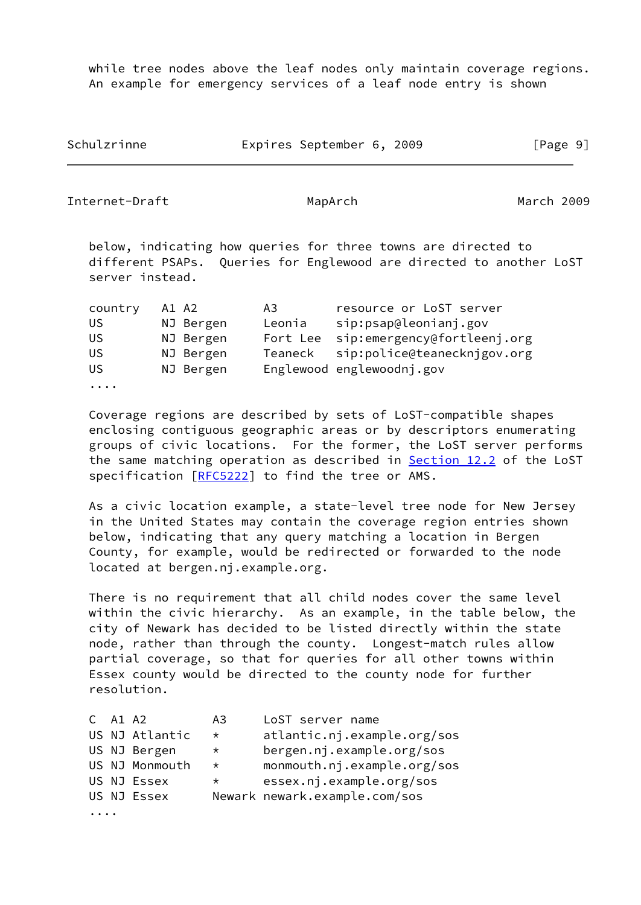while tree nodes above the leaf nodes only maintain coverage regions. An example for emergency services of a leaf node entry is shown

Schulzrinne Expires September 6, 2009 [Page 9]

Internet-Draft MapArch MapArch Mach 2009

 below, indicating how queries for three towns are directed to different PSAPs. Queries for Englewood are directed to another LoST server instead.

| country  | A1 A2 |           | A3.      | resource or LoST server     |
|----------|-------|-----------|----------|-----------------------------|
| US       |       | NJ Bergen | Leonia   | sip:psap@leonianj.gov       |
| US       |       | NJ Bergen | Fort Lee | sip:emergency@fortleenj.org |
| US       |       | NJ Bergen | Teaneck  | sip:police@teanecknjgov.org |
| US       |       | NJ Bergen |          | Englewood englewoodnj.gov   |
| $\cdots$ |       |           |          |                             |

 Coverage regions are described by sets of LoST-compatible shapes enclosing contiguous geographic areas or by descriptors enumerating groups of civic locations. For the former, the LoST server performs the same matching operation as described in Section 12.2 of the LoST specification [[RFC5222](https://datatracker.ietf.org/doc/pdf/rfc5222)] to find the tree or AMS.

 As a civic location example, a state-level tree node for New Jersey in the United States may contain the coverage region entries shown below, indicating that any query matching a location in Bergen County, for example, would be redirected or forwarded to the node located at bergen.nj.example.org.

 There is no requirement that all child nodes cover the same level within the civic hierarchy. As an example, in the table below, the city of Newark has decided to be listed directly within the state node, rather than through the county. Longest-match rules allow partial coverage, so that for queries for all other towns within Essex county would be directed to the county node for further resolution.

|  | $C$ A1 A2 |                | A3      | LoST server name              |
|--|-----------|----------------|---------|-------------------------------|
|  |           | US NJ Atlantic | $\star$ | atlantic.nj.example.org/sos   |
|  |           | US NJ Bergen   | $\star$ | bergen.nj.example.org/sos     |
|  |           | US NJ Monmouth | $\star$ | monmouth.nj.example.org/sos   |
|  |           | US NJ Essex    | $\star$ | essex.nj.example.org/sos      |
|  |           | US NJ Essex    |         | Newark newark.example.com/sos |
|  |           |                |         |                               |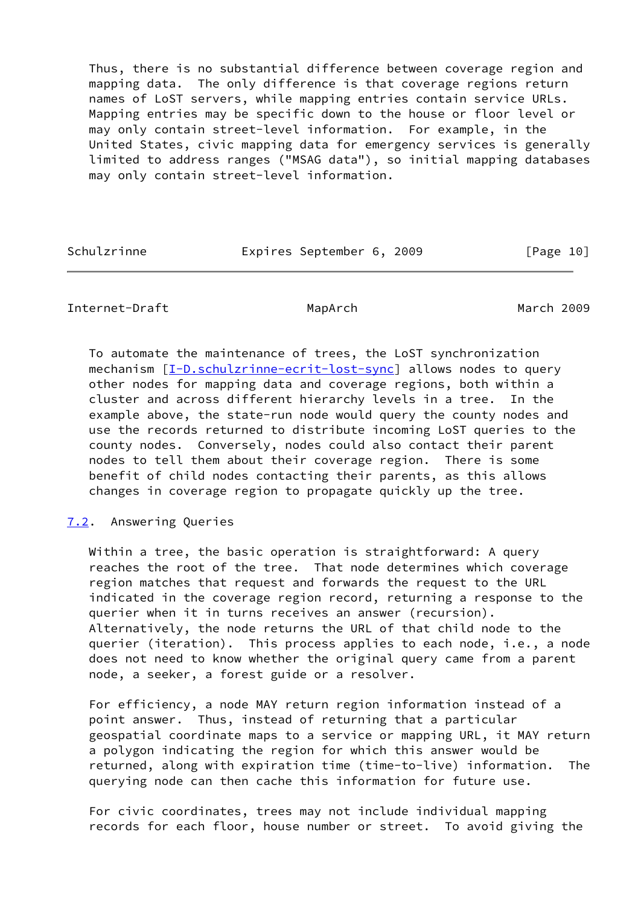Thus, there is no substantial difference between coverage region and mapping data. The only difference is that coverage regions return names of LoST servers, while mapping entries contain service URLs. Mapping entries may be specific down to the house or floor level or may only contain street-level information. For example, in the United States, civic mapping data for emergency services is generally limited to address ranges ("MSAG data"), so initial mapping databases may only contain street-level information.

Schulzrinne **Expires September 6, 2009** [Page 10]

# <span id="page-11-1"></span>Internet-Draft MapArch March 2009

 To automate the maintenance of trees, the LoST synchronization mechanism  $[I-D.schulzrinne-ecrit-lost-sync]$  $[I-D.schulzrinne-ecrit-lost-sync]$  $[I-D.schulzrinne-ecrit-lost-sync]$  allows nodes to query other nodes for mapping data and coverage regions, both within a cluster and across different hierarchy levels in a tree. In the example above, the state-run node would query the county nodes and use the records returned to distribute incoming LoST queries to the county nodes. Conversely, nodes could also contact their parent nodes to tell them about their coverage region. There is some benefit of child nodes contacting their parents, as this allows changes in coverage region to propagate quickly up the tree.

# <span id="page-11-0"></span>[7.2](#page-11-0). Answering Queries

Within a tree, the basic operation is straightforward: A query reaches the root of the tree. That node determines which coverage region matches that request and forwards the request to the URL indicated in the coverage region record, returning a response to the querier when it in turns receives an answer (recursion). Alternatively, the node returns the URL of that child node to the querier (iteration). This process applies to each node, i.e., a node does not need to know whether the original query came from a parent node, a seeker, a forest guide or a resolver.

 For efficiency, a node MAY return region information instead of a point answer. Thus, instead of returning that a particular geospatial coordinate maps to a service or mapping URL, it MAY return a polygon indicating the region for which this answer would be returned, along with expiration time (time-to-live) information. The querying node can then cache this information for future use.

 For civic coordinates, trees may not include individual mapping records for each floor, house number or street. To avoid giving the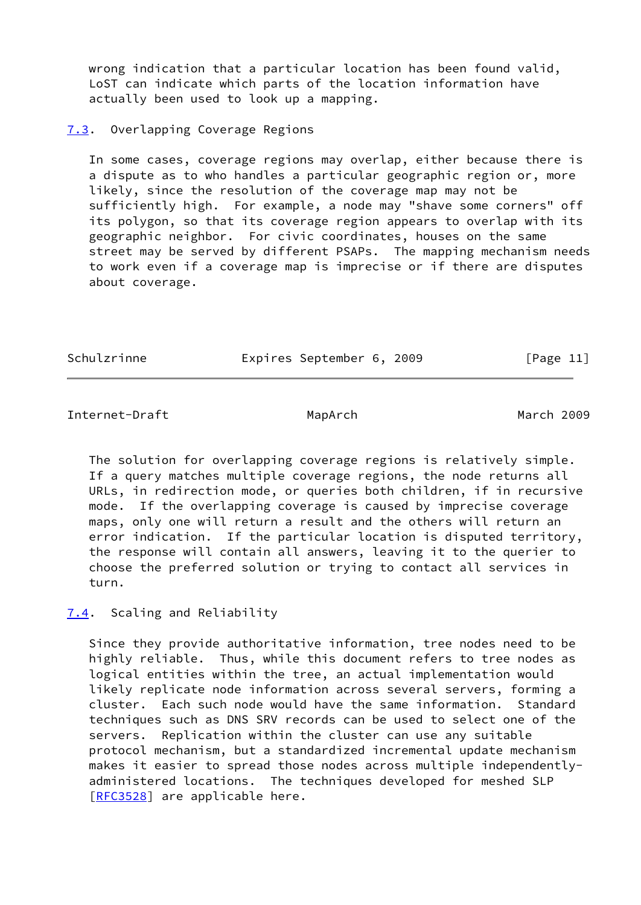wrong indication that a particular location has been found valid, LoST can indicate which parts of the location information have actually been used to look up a mapping.

### <span id="page-12-0"></span>[7.3](#page-12-0). Overlapping Coverage Regions

 In some cases, coverage regions may overlap, either because there is a dispute as to who handles a particular geographic region or, more likely, since the resolution of the coverage map may not be sufficiently high. For example, a node may "shave some corners" off its polygon, so that its coverage region appears to overlap with its geographic neighbor. For civic coordinates, houses on the same street may be served by different PSAPs. The mapping mechanism needs to work even if a coverage map is imprecise or if there are disputes about coverage.

| Schulzrinne | Expires September 6, 2009 | [Page 11] |
|-------------|---------------------------|-----------|
|             |                           |           |

<span id="page-12-2"></span>Internet-Draft MapArch March 2009

 The solution for overlapping coverage regions is relatively simple. If a query matches multiple coverage regions, the node returns all URLs, in redirection mode, or queries both children, if in recursive mode. If the overlapping coverage is caused by imprecise coverage maps, only one will return a result and the others will return an error indication. If the particular location is disputed territory, the response will contain all answers, leaving it to the querier to choose the preferred solution or trying to contact all services in turn.

# <span id="page-12-1"></span>[7.4](#page-12-1). Scaling and Reliability

 Since they provide authoritative information, tree nodes need to be highly reliable. Thus, while this document refers to tree nodes as logical entities within the tree, an actual implementation would likely replicate node information across several servers, forming a cluster. Each such node would have the same information. Standard techniques such as DNS SRV records can be used to select one of the servers. Replication within the cluster can use any suitable protocol mechanism, but a standardized incremental update mechanism makes it easier to spread those nodes across multiple independently administered locations. The techniques developed for meshed SLP [\[RFC3528](https://datatracker.ietf.org/doc/pdf/rfc3528)] are applicable here.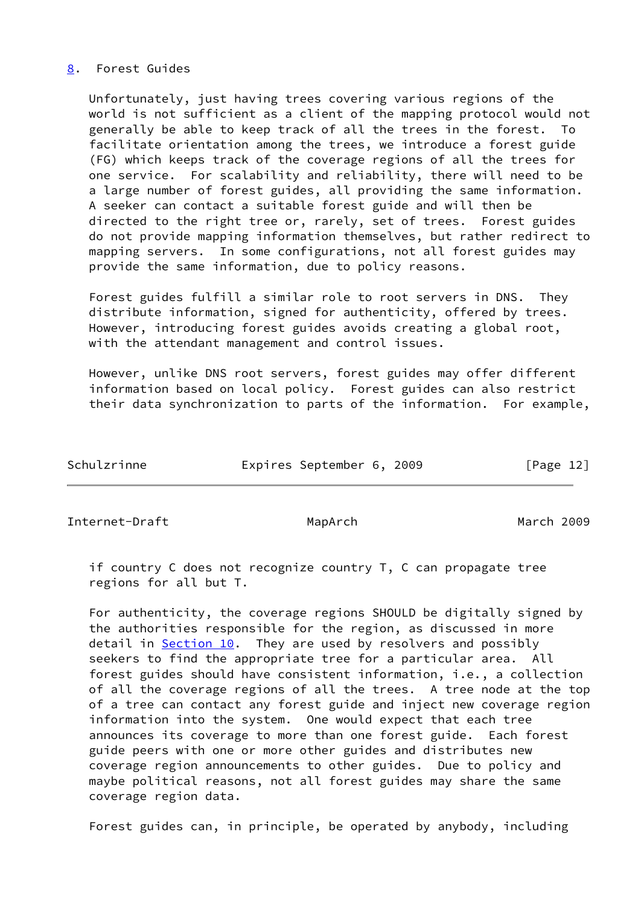# <span id="page-13-0"></span>[8](#page-13-0). Forest Guides

 Unfortunately, just having trees covering various regions of the world is not sufficient as a client of the mapping protocol would not generally be able to keep track of all the trees in the forest. To facilitate orientation among the trees, we introduce a forest guide (FG) which keeps track of the coverage regions of all the trees for one service. For scalability and reliability, there will need to be a large number of forest guides, all providing the same information. A seeker can contact a suitable forest guide and will then be directed to the right tree or, rarely, set of trees. Forest guides do not provide mapping information themselves, but rather redirect to mapping servers. In some configurations, not all forest guides may provide the same information, due to policy reasons.

 Forest guides fulfill a similar role to root servers in DNS. They distribute information, signed for authenticity, offered by trees. However, introducing forest guides avoids creating a global root, with the attendant management and control issues.

 However, unlike DNS root servers, forest guides may offer different information based on local policy. Forest guides can also restrict their data synchronization to parts of the information. For example,

| Schulzrinne | Expires September 6, 2009 |  | [Page 12] |  |
|-------------|---------------------------|--|-----------|--|

<span id="page-13-1"></span>Internet-Draft MapArch March 2009

 if country C does not recognize country T, C can propagate tree regions for all but T.

 For authenticity, the coverage regions SHOULD be digitally signed by the authorities responsible for the region, as discussed in more detail in  $Section 10$ . They are used by resolvers and possibly seekers to find the appropriate tree for a particular area. All forest guides should have consistent information, i.e., a collection of all the coverage regions of all the trees. A tree node at the top of a tree can contact any forest guide and inject new coverage region information into the system. One would expect that each tree announces its coverage to more than one forest guide. Each forest guide peers with one or more other guides and distributes new coverage region announcements to other guides. Due to policy and maybe political reasons, not all forest guides may share the same coverage region data.

Forest guides can, in principle, be operated by anybody, including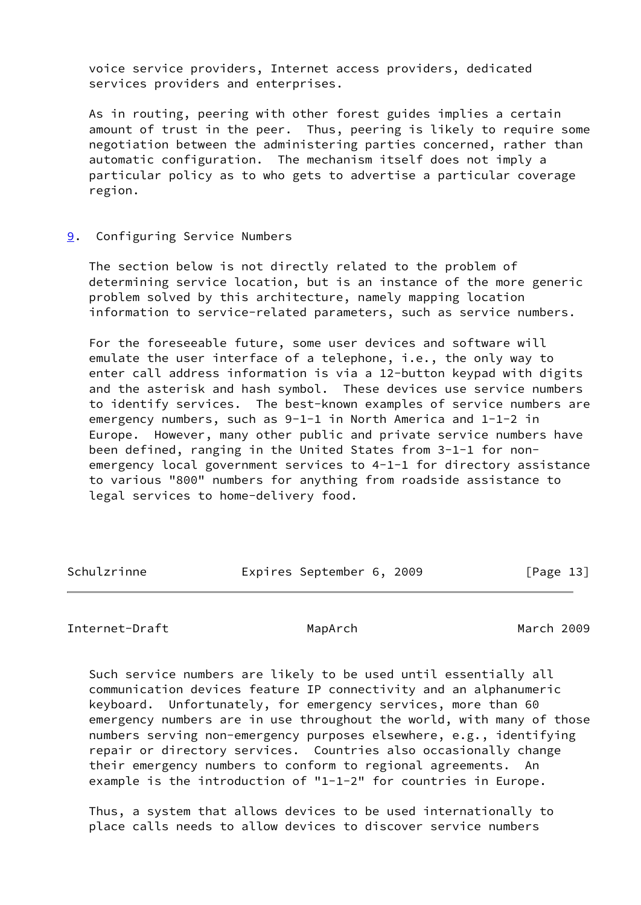voice service providers, Internet access providers, dedicated services providers and enterprises.

 As in routing, peering with other forest guides implies a certain amount of trust in the peer. Thus, peering is likely to require some negotiation between the administering parties concerned, rather than automatic configuration. The mechanism itself does not imply a particular policy as to who gets to advertise a particular coverage region.

#### <span id="page-14-0"></span>[9](#page-14-0). Configuring Service Numbers

 The section below is not directly related to the problem of determining service location, but is an instance of the more generic problem solved by this architecture, namely mapping location information to service-related parameters, such as service numbers.

 For the foreseeable future, some user devices and software will emulate the user interface of a telephone, i.e., the only way to enter call address information is via a 12-button keypad with digits and the asterisk and hash symbol. These devices use service numbers to identify services. The best-known examples of service numbers are emergency numbers, such as 9-1-1 in North America and 1-1-2 in Europe. However, many other public and private service numbers have been defined, ranging in the United States from 3-1-1 for non emergency local government services to 4-1-1 for directory assistance to various "800" numbers for anything from roadside assistance to legal services to home-delivery food.

| Schulzrinne | Expires September 6, 2009 |  | [Page 13] |
|-------------|---------------------------|--|-----------|
|-------------|---------------------------|--|-----------|

Internet-Draft MapArch MapArch March 2009

 Such service numbers are likely to be used until essentially all communication devices feature IP connectivity and an alphanumeric keyboard. Unfortunately, for emergency services, more than 60 emergency numbers are in use throughout the world, with many of those numbers serving non-emergency purposes elsewhere, e.g., identifying repair or directory services. Countries also occasionally change their emergency numbers to conform to regional agreements. An example is the introduction of "1-1-2" for countries in Europe.

 Thus, a system that allows devices to be used internationally to place calls needs to allow devices to discover service numbers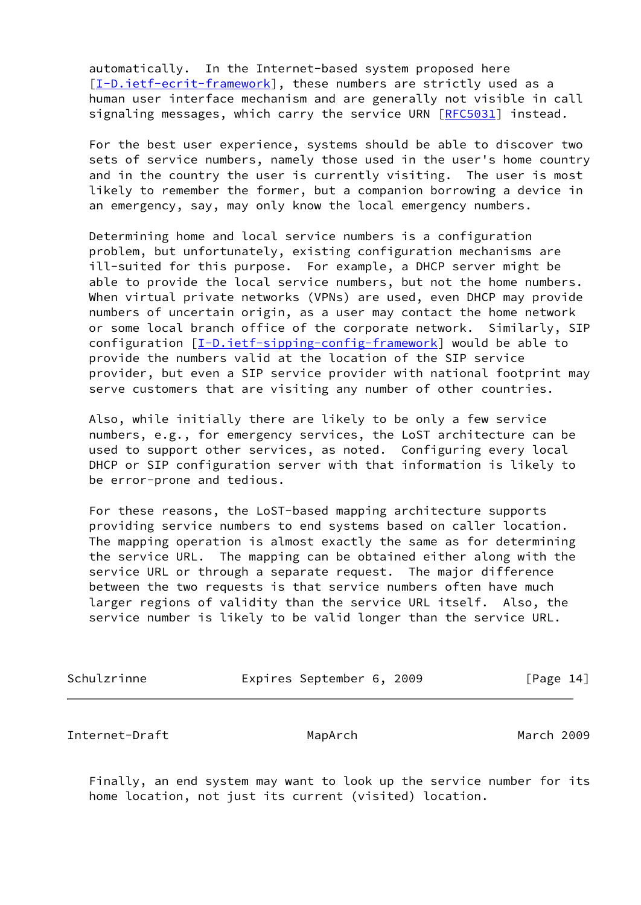automatically. In the Internet-based system proposed here [\[I-D.ietf-ecrit-framework](#page-18-1)], these numbers are strictly used as a human user interface mechanism and are generally not visible in call signaling messages, which carry the service URN [\[RFC5031](https://datatracker.ietf.org/doc/pdf/rfc5031)] instead.

 For the best user experience, systems should be able to discover two sets of service numbers, namely those used in the user's home country and in the country the user is currently visiting. The user is most likely to remember the former, but a companion borrowing a device in an emergency, say, may only know the local emergency numbers.

 Determining home and local service numbers is a configuration problem, but unfortunately, existing configuration mechanisms are ill-suited for this purpose. For example, a DHCP server might be able to provide the local service numbers, but not the home numbers. When virtual private networks (VPNs) are used, even DHCP may provide numbers of uncertain origin, as a user may contact the home network or some local branch office of the corporate network. Similarly, SIP configuration [[I-D.ietf-sipping-config-framework\]](#page-18-3) would be able to provide the numbers valid at the location of the SIP service provider, but even a SIP service provider with national footprint may serve customers that are visiting any number of other countries.

 Also, while initially there are likely to be only a few service numbers, e.g., for emergency services, the LoST architecture can be used to support other services, as noted. Configuring every local DHCP or SIP configuration server with that information is likely to be error-prone and tedious.

 For these reasons, the LoST-based mapping architecture supports providing service numbers to end systems based on caller location. The mapping operation is almost exactly the same as for determining the service URL. The mapping can be obtained either along with the service URL or through a separate request. The major difference between the two requests is that service numbers often have much larger regions of validity than the service URL itself. Also, the service number is likely to be valid longer than the service URL.

| Schulzrinne | Expires September 6, 2009 |  | [Page 14] |  |
|-------------|---------------------------|--|-----------|--|
|             |                           |  |           |  |

<span id="page-15-0"></span>Internet-Draft MapArch March 2009

 Finally, an end system may want to look up the service number for its home location, not just its current (visited) location.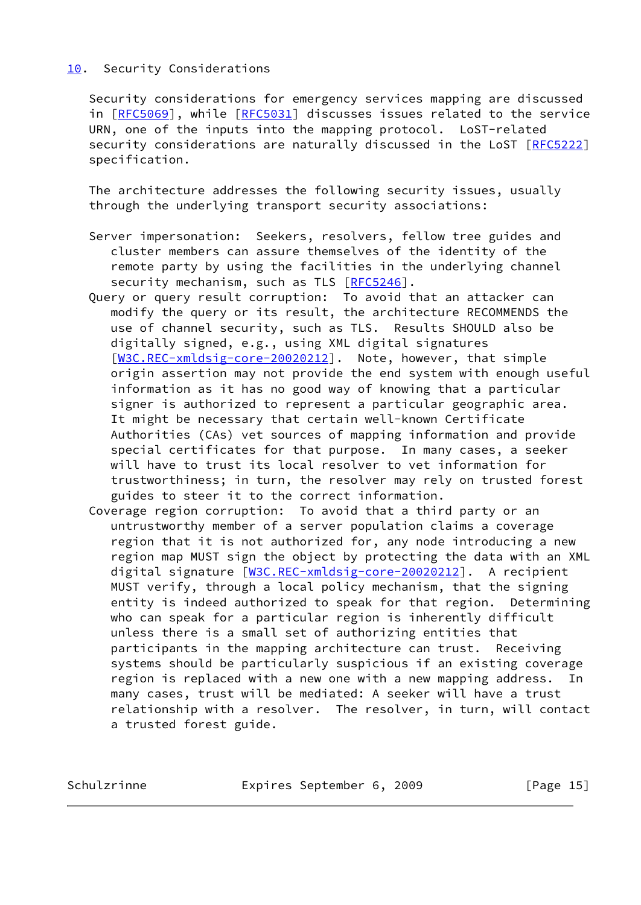# <span id="page-16-0"></span>[10.](#page-16-0) Security Considerations

 Security considerations for emergency services mapping are discussed in [[RFC5069\]](https://datatracker.ietf.org/doc/pdf/rfc5069), while [\[RFC5031](https://datatracker.ietf.org/doc/pdf/rfc5031)] discusses issues related to the service URN, one of the inputs into the mapping protocol. LoST-related security considerations are naturally discussed in the LoST [\[RFC5222](https://datatracker.ietf.org/doc/pdf/rfc5222)] specification.

 The architecture addresses the following security issues, usually through the underlying transport security associations:

- Server impersonation: Seekers, resolvers, fellow tree guides and cluster members can assure themselves of the identity of the remote party by using the facilities in the underlying channel security mechanism, such as TLS [[RFC5246\]](https://datatracker.ietf.org/doc/pdf/rfc5246).
- Query or query result corruption: To avoid that an attacker can modify the query or its result, the architecture RECOMMENDS the use of channel security, such as TLS. Results SHOULD also be digitally signed, e.g., using XML digital signatures [[W3C.REC-xmldsig-core-20020212\]](#page-18-4). Note, however, that simple origin assertion may not provide the end system with enough useful information as it has no good way of knowing that a particular signer is authorized to represent a particular geographic area. It might be necessary that certain well-known Certificate Authorities (CAs) vet sources of mapping information and provide special certificates for that purpose. In many cases, a seeker will have to trust its local resolver to vet information for trustworthiness; in turn, the resolver may rely on trusted forest guides to steer it to the correct information.
- Coverage region corruption: To avoid that a third party or an untrustworthy member of a server population claims a coverage region that it is not authorized for, any node introducing a new region map MUST sign the object by protecting the data with an XML digital signature [\[W3C.REC-xmldsig-core-20020212\]](#page-18-4). A recipient MUST verify, through a local policy mechanism, that the signing entity is indeed authorized to speak for that region. Determining who can speak for a particular region is inherently difficult unless there is a small set of authorizing entities that participants in the mapping architecture can trust. Receiving systems should be particularly suspicious if an existing coverage region is replaced with a new one with a new mapping address. In many cases, trust will be mediated: A seeker will have a trust relationship with a resolver. The resolver, in turn, will contact a trusted forest guide.

Schulzrinne **Expires September 6, 2009** [Page 15]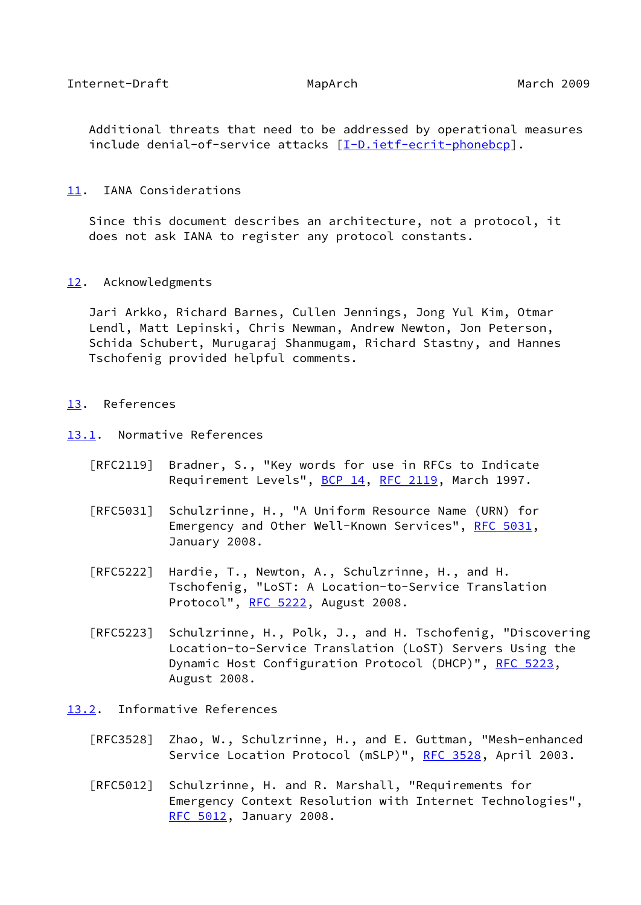<span id="page-17-1"></span> Additional threats that need to be addressed by operational measures include denial-of-service attacks [[I-D.ietf-ecrit-phonebcp](#page-18-5)].

#### <span id="page-17-0"></span>[11.](#page-17-0) IANA Considerations

 Since this document describes an architecture, not a protocol, it does not ask IANA to register any protocol constants.

#### <span id="page-17-2"></span>[12.](#page-17-2) Acknowledgments

 Jari Arkko, Richard Barnes, Cullen Jennings, Jong Yul Kim, Otmar Lendl, Matt Lepinski, Chris Newman, Andrew Newton, Jon Peterson, Schida Schubert, Murugaraj Shanmugam, Richard Stastny, and Hannes Tschofenig provided helpful comments.

#### <span id="page-17-3"></span>[13.](#page-17-3) References

- <span id="page-17-4"></span>[13.1](#page-17-4). Normative References
	- [RFC2119] Bradner, S., "Key words for use in RFCs to Indicate Requirement Levels", [BCP 14](https://datatracker.ietf.org/doc/pdf/bcp14), [RFC 2119](https://datatracker.ietf.org/doc/pdf/rfc2119), March 1997.
	- [RFC5031] Schulzrinne, H., "A Uniform Resource Name (URN) for Emergency and Other Well-Known Services", [RFC 5031](https://datatracker.ietf.org/doc/pdf/rfc5031), January 2008.
	- [RFC5222] Hardie, T., Newton, A., Schulzrinne, H., and H. Tschofenig, "LoST: A Location-to-Service Translation Protocol", [RFC 5222](https://datatracker.ietf.org/doc/pdf/rfc5222), August 2008.
	- [RFC5223] Schulzrinne, H., Polk, J., and H. Tschofenig, "Discovering Location-to-Service Translation (LoST) Servers Using the Dynamic Host Configuration Protocol (DHCP)", [RFC 5223](https://datatracker.ietf.org/doc/pdf/rfc5223), August 2008.

#### <span id="page-17-5"></span>[13.2](#page-17-5). Informative References

- [RFC3528] Zhao, W., Schulzrinne, H., and E. Guttman, "Mesh-enhanced Service Location Protocol (mSLP)", [RFC 3528](https://datatracker.ietf.org/doc/pdf/rfc3528), April 2003.
- [RFC5012] Schulzrinne, H. and R. Marshall, "Requirements for Emergency Context Resolution with Internet Technologies", [RFC 5012,](https://datatracker.ietf.org/doc/pdf/rfc5012) January 2008.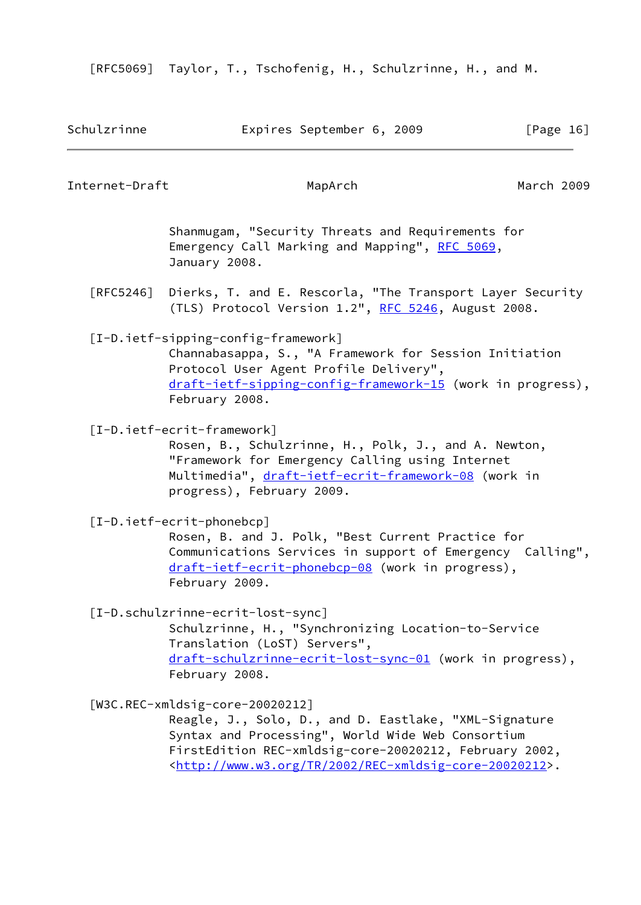[RFC5069] Taylor, T., Tschofenig, H., Schulzrinne, H., and M.

<span id="page-18-5"></span><span id="page-18-4"></span><span id="page-18-3"></span><span id="page-18-2"></span><span id="page-18-1"></span><span id="page-18-0"></span>

| Schulzrinne       | Expires September 6, 2009                                                                                                                                                                                                                                                                    | [Page 16]  |  |
|-------------------|----------------------------------------------------------------------------------------------------------------------------------------------------------------------------------------------------------------------------------------------------------------------------------------------|------------|--|
| Internet-Draft    | MapArch                                                                                                                                                                                                                                                                                      | March 2009 |  |
|                   | Shanmugam, "Security Threats and Requirements for<br>Emergency Call Marking and Mapping", RFC 5069,<br>January 2008.                                                                                                                                                                         |            |  |
| $\lceil$ RFC5246] | Dierks, T. and E. Rescorla, "The Transport Layer Security<br>(TLS) Protocol Version 1.2", RFC 5246, August 2008.                                                                                                                                                                             |            |  |
|                   | [I-D.ietf-sipping-config-framework]<br>Channabasappa, S., "A Framework for Session Initiation<br>Protocol User Agent Profile Delivery",<br>draft-ietf-sipping-config-framework-15 (work in progress),<br>February 2008.                                                                      |            |  |
|                   | [I-D.ietf-ecrit-framework]<br>Rosen, B., Schulzrinne, H., Polk, J., and A. Newton,<br>"Framework for Emergency Calling using Internet<br>Multimedia", draft-ietf-ecrit-framework-08 (work in<br>progress), February 2009.                                                                    |            |  |
|                   | $[I-D.ietf-ecrit-phonebcp]$<br>Rosen, B. and J. Polk, "Best Current Practice for<br>Communications Services in support of Emergency Calling",<br>draft-ietf-ecrit-phonebcp-08 (work in progress),<br>February 2009.                                                                          |            |  |
|                   | [I-D.schulzrinne-ecrit-lost-sync]<br>Schulzrinne, H., "Synchronizing Location-to-Service<br>Translation (LoST) Servers",<br>draft-schulzrinne-ecrit-lost-sync-01 (work in progress),<br>February 2008.                                                                                       |            |  |
|                   | $[W3C \cdot REC-xmldsig-core-20020212]$<br>Reagle, J., Solo, D., and D. Eastlake, "XML-Signature<br>Syntax and Processing", World Wide Web Consortium<br>FirstEdition REC-xmldsig-core-20020212, February 2002,<br><http: 2002="" rec-xmldsig-core-20020212="" tr="" www.w3.org="">.</http:> |            |  |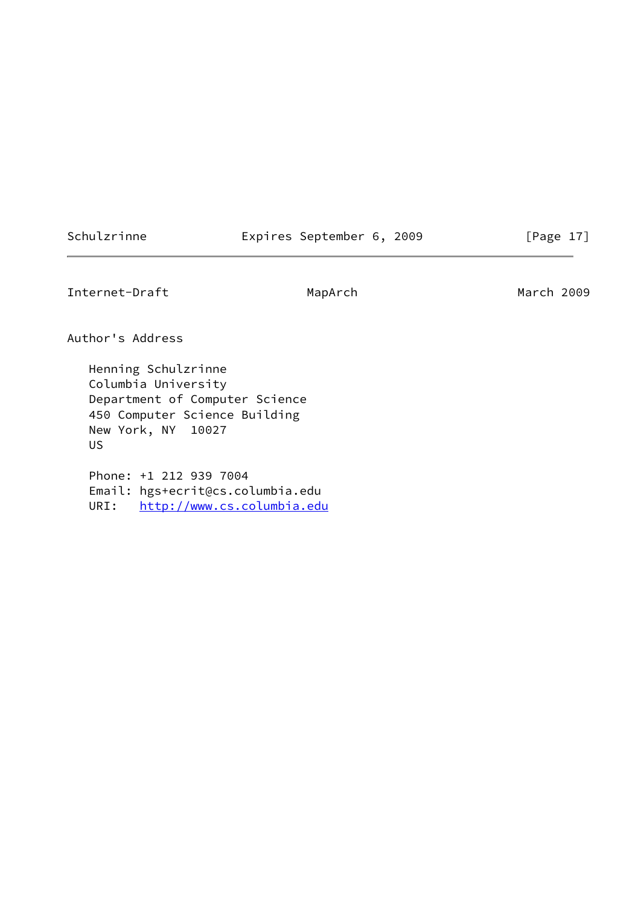# Schulzrinne **Expires September 6, 2009** [Page 17]

Internet-Draft MapArch MapArch March 2009

Author's Address

 Henning Schulzrinne Columbia University Department of Computer Science 450 Computer Science Building New York, NY 10027 US

 Phone: +1 212 939 7004 Email: hgs+ecrit@cs.columbia.edu URI: <http://www.cs.columbia.edu>